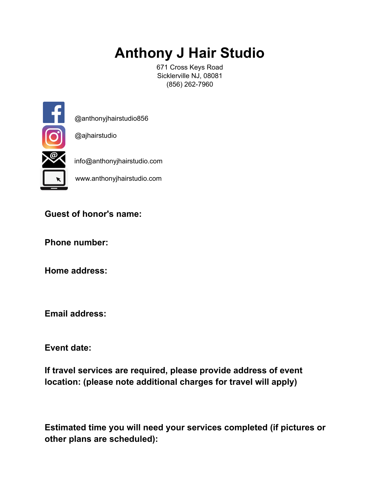# **Anthony J Hair Studio**

671 Cross Keys Road Sicklerville NJ, 08081 (856) 262-7960



@anthonyjhairstudio856

@ajhairstudio

info@anthonyjhairstudio.com

www.anthonyjhairstudio.com

### **Guest of honor's name:**

**Phone number:** 

**Home address:** 

**Email address:** 

**Event date:** 

**If travel services are required, please provide address of event location: (please note additional charges for travel will apply)** 

**Estimated time you will need your services completed (if pictures or other plans are scheduled):**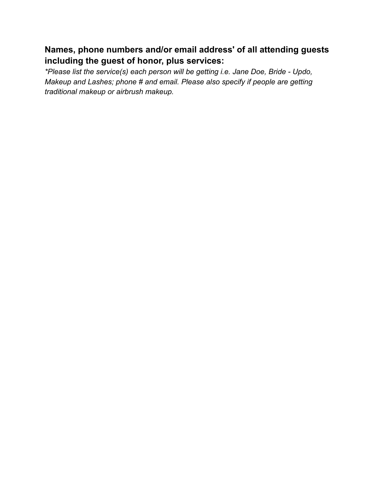## **Names, phone numbers and/or email address' of all attending guests including the guest of honor, plus services:**

*\*Please list the service(s) each person will be getting i.e. Jane Doe, Bride - Updo, Makeup and Lashes; phone # and email. Please also specify if people are getting traditional makeup or airbrush makeup.*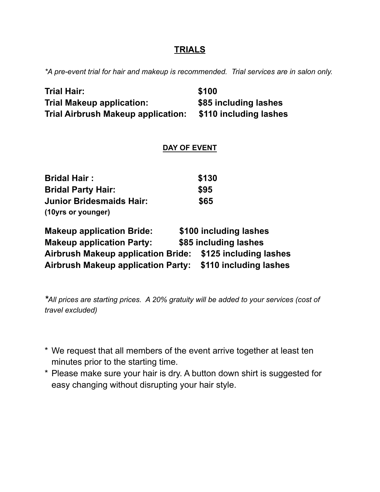#### **TRIALS**

*\*A pre-event trial for hair and makeup is recommended. Trial services are in salon only.*

| <b>Trial Hair:</b>                        | \$100                  |  |
|-------------------------------------------|------------------------|--|
| <b>Trial Makeup application:</b>          | \$85 including lashes  |  |
| <b>Trial Airbrush Makeup application:</b> | \$110 including lashes |  |
| <b>DAY OF EVENT</b>                       |                        |  |

| <b>Bridal Hair:</b>             | \$130 |
|---------------------------------|-------|
| <b>Bridal Party Hair:</b>       | \$95  |
| <b>Junior Bridesmaids Hair:</b> | \$65  |
| (10yrs or younger)              |       |

| <b>Makeup application Bride:</b>          | \$100 including lashes |
|-------------------------------------------|------------------------|
| <b>Makeup application Party:</b>          | \$85 including lashes  |
| <b>Airbrush Makeup application Bride:</b> | \$125 including lashes |
| <b>Airbrush Makeup application Party:</b> | \$110 including lashes |

*\*All prices are starting prices. A 20% gratuity will be added to your services (cost of travel excluded)*

- \* We request that all members of the event arrive together at least ten minutes prior to the starting time.
- \* Please make sure your hair is dry. A button down shirt is suggested for easy changing without disrupting your hair style.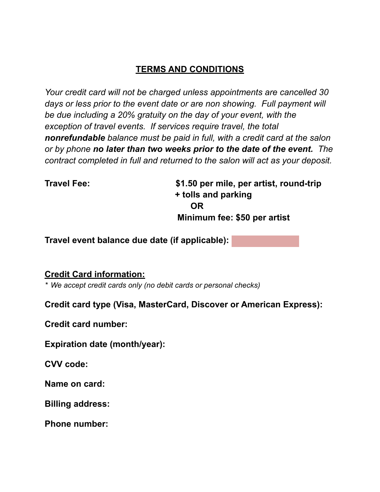## **TERMS AND CONDITIONS**

*Your credit card will not be charged unless appointments are cancelled 30*  days or less prior to the event date or are non showing. Full payment will *be due including a 20% gratuity on the day of your event, with the exception of travel events. If services require travel, the total nonrefundable balance must be paid in full, with a credit card at the salon or by phone no later than two weeks prior to the date of the event. The contract completed in full and returned to the salon will act as your deposit.*

**Travel Fee: \$1.50 per mile, per artist, round-trip + tolls and parking OR Minimum fee: \$50 per artist** 

**Travel event balance due date (if applicable):** 

**Credit Card information:** 

*\* We accept credit cards only (no debit cards or personal checks)*

**Credit card type (Visa, MasterCard, Discover or American Express):**

**Credit card number:**

**Expiration date (month/year):**

**CVV code:** 

**Name on card:**

**Billing address:**

**Phone number:**